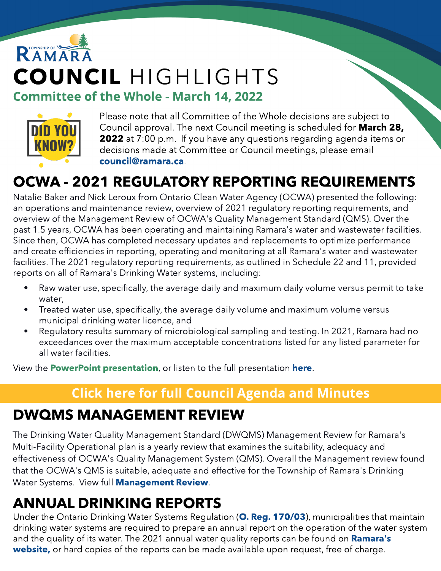# RAMAR COUNCIL HIGHLIGHTS **Committee of the Whole - March 14, 2022**



Please note that all Committee of the Whole decisions are subject to Council approval. The next Council meeting is scheduled for March 28, **2022** at 7:00 p.m. If you have any questions regarding agenda items or decisions made at Committee or Council meetings, please email [council@ramara.ca](mailto:council@ramara.ca).

### OCWA - 2021 REGULATORY REPORTING REQUIREMENTS

Natalie Baker and Nick Leroux from Ontario Clean Water Agency (OCWA) presented the following: an operations and maintenance review, overview of 2021 regulatory reporting requirements, and overview of the Management Review of OCWA's Quality Management Standard (QMS). Over the past 1.5 years, OCWA has been operating and maintaining Ramara's water and wastewater facilities. Since then, OCWA has completed necessary updates and replacements to optimize performance and create efficiencies in reporting, operating and monitoring at all Ramara's water and wastewater facilities. The 2021 regulatory reporting requirements, as outlined in Schedule 22 and 11, provided reports on all of Ramara's Drinking Water systems, including:

- Raw water use, specifically, the average daily and maximum daily volume versus permit to take water;
- Treated water use, specifically, the average daily volume and maximum volume versus municipal drinking water licence, and
- Regulatory results summary of microbiological sampling and testing. In 2021, Ramara had no exceedances over the maximum acceptable concentrations listed for any listed parameter for all water facilities.

View the **Pow[erPoint](https://ramara.civicweb.net/document/36023/OCWA%20Presentation.pdf?handle=4AFB17540A1B4F4A8A4312C5F00535CD) [presentation](https://ramara.civicweb.net/document/36023/OCWA%20Presentation.pdf?handle=4AFB17540A1B4F4A8A4312C5F00535CD)**, or listen to the full presentation **[here](https://youtu.be/d8_k7pkNMhw?t=245)**.

#### **[Click](https://ramara.civicweb.net/portal/) [here](https://ramara.civicweb.net/portal/) [for](https://ramara.civicweb.net/portal/) [full](https://ramara.civicweb.net/portal/) [Council](https://ramara.civicweb.net/portal/) [Agenda](https://ramara.civicweb.net/portal/) [and](https://ramara.civicweb.net/portal/) [Minut](https://ramara.civicweb.net/portal/)es**

#### DWQMS MANAGEMENT REVIEW

The Drinking Water Quality Management Standard (DWQMS) Management Review for Ramara's Multi-Facility Operational plan is a yearly review that examines the suitability, adequacy and effectiveness of OCWA's Quality Management System (QMS). Overall the Management review found that the OCWA's QMS is suitable, adequate and effective for the Township of Ramara's Drinking Water Systems. View full **[Management](https://ramara.civicweb.net/document/60300/DWQMS%20Management%20Review.pdf?handle=4FFD752DA16844DFA7FD4B91A6390B84) [Review](https://ramara.civicweb.net/document/60300/DWQMS%20Management%20Review.pdf?handle=4FFD752DA16844DFA7FD4B91A6390B84)**.

#### ANNUAL DRINKING REPORTS

Under the Ontario Drinking Water Systems Regulation ([O.](https://www.ontario.ca/laws/regulation/030170#BK29) [Reg.](https://www.ontario.ca/laws/regulation/030170#BK29) [170/03](https://www.ontario.ca/laws/regulation/030170#BK29)), municipalities that maintain drinking water systems are required to prepare an annual report on the operation of the water system and the quality of its water. The 2021 annual water quality reports can be found on **[Ramara's](https://www.ramara.ca/en/living-here/drinking-water-quality-and-monitoring.aspx#Annual-Reports)** w[ebsite](https://www.ramara.ca/en/living-here/drinking-water-quality-and-monitoring.aspx#Annual-Reports), or hard copies of the reports can be made available upon request, free of charge.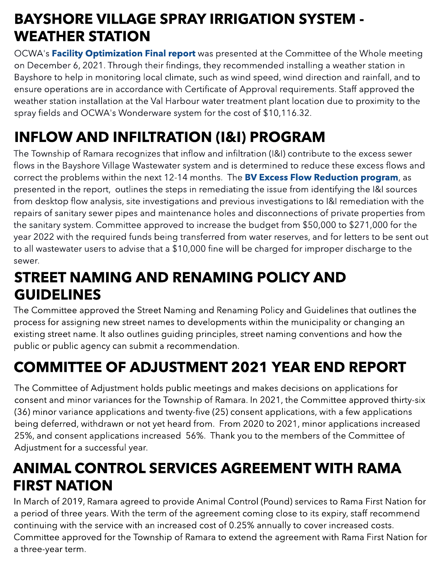#### BAYSHORE VILLAGE SPRAY IRRIGATION SYSTEM - WEATHER STATION

OCWA's [Facility](https://ramara.civicweb.net/document/56624/BayShore%20WWTP%20FOP%20Report_%20Final%20-%20ASHLEY.pdf?handle=43B9ED20AFF240B6B87872B65F50B355) [Optimization](https://ramara.civicweb.net/document/56624/BayShore%20WWTP%20FOP%20Report_%20Final%20-%20ASHLEY.pdf?handle=43B9ED20AFF240B6B87872B65F50B355) [Final](https://ramara.civicweb.net/document/56624/BayShore%20WWTP%20FOP%20Report_%20Final%20-%20ASHLEY.pdf?handle=43B9ED20AFF240B6B87872B65F50B355) [report](https://ramara.civicweb.net/document/56624/BayShore%20WWTP%20FOP%20Report_%20Final%20-%20ASHLEY.pdf?handle=43B9ED20AFF240B6B87872B65F50B355) was presented at the Committee of the Whole meeting on December 6, 2021. Through their findings, they recommended installing a weather station in Bayshore to help in monitoring local climate, such as wind speed, wind direction and rainfall, and to ensure operations are in accordance with Certificate of Approval requirements. Staff approved the weather station installation at the Val Harbour water treatment plant location due to proximity to the spray fields and OCWA's Wonderware system for the cost of \$10,116.32.

### INFLOW AND INFILTRATION (I&I) PROGRAM

The Township of Ramara recognizes that inflow and infiltration (I&I) contribute to the excess sewer flows in the Bayshore Village Wastewater system and is determined to reduce these excess flows and correct the problems within the next 12-14 months. The **[BV](https://ramara.civicweb.net/document/60415/Inflow%20and%20Infiltration%20(I_I)%20Reduction%20Program.pdf?handle=974931DAB9A7443E9180DA2AAB102495) [Excess](https://ramara.civicweb.net/document/60415/Inflow%20and%20Infiltration%20(I_I)%20Reduction%20Program.pdf?handle=974931DAB9A7443E9180DA2AAB102495) [Flow](https://ramara.civicweb.net/document/60415/Inflow%20and%20Infiltration%20(I_I)%20Reduction%20Program.pdf?handle=974931DAB9A7443E9180DA2AAB102495) [Reduction](https://ramara.civicweb.net/document/60415/Inflow%20and%20Infiltration%20(I_I)%20Reduction%20Program.pdf?handle=974931DAB9A7443E9180DA2AAB102495) [program](https://ramara.civicweb.net/document/60415/Inflow%20and%20Infiltration%20(I_I)%20Reduction%20Program.pdf?handle=974931DAB9A7443E9180DA2AAB102495)**, as presented in the report, outlines the steps in remediating the issue from identifying the I&I sources from desktop flow analysis, site investigations and previous investigations to I&I remediation with the repairs of sanitary sewer pipes and maintenance holes and disconnections of private properties from the sanitary system. Committee approved to increase the budget from \$50,000 to \$271,000 for the year 2022 with the required funds being transferred from water reserves, and for letters to be sent out to all wastewater users to advise that a \$10,000 fine will be charged for improper discharge to the sewer.

#### STREET NAMING AND RENAMING POLICY AND GUIDELINES

The Committee approved the Street Naming and Renaming Policy and Guidelines that outlines the process for assigning new street names to developments within the municipality or changing an existing street name. It also outlines guiding principles, street naming conventions and how the public or public agency can submit a recommendation.

### COMMITTEE OF ADJUSTMENT 2021 YEAR END REPORT

The Committee of Adjustment holds public meetings and makes decisions on applications for consent and minor variances for the Township of Ramara. In 2021, the Committee approved thirty-six (36) minor variance applications and twenty-five (25) consent applications, with a few applications being deferred, withdrawn or not yet heard from. From 2020 to 2021, minor applications increased 25%, and consent applications increased 56%. Thank you to the members of the Committee of Adjustment for a successful year.

#### ANIMAL CONTROL SERVICES AGREEMENT WITH RAMA FIRST NATION

In March of 2019, Ramara agreed to provide Animal Control (Pound) services to Rama First Nation for a period of three years. With the term of the agreement coming close to its expiry, staff recommend continuing with the service with an increased cost of 0.25% annually to cover increased costs. Committee approved for the Township of Ramara to extend the agreement with Rama First Nation for a three-year term.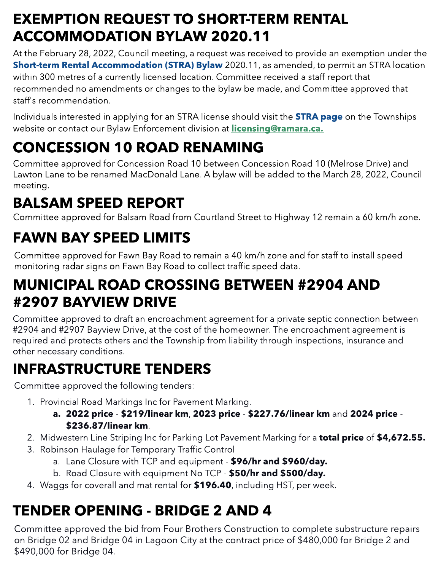### EXEMPTION REQUEST TO SHORT-TERM RENTAL ACCOMMODATION BYLAW 2020.11

At the February 28, 2022, Council meeting, a request was received to provide an exemption under the [Short-term](https://www.ramara.ca/en/business-and-development/short-term-rental-accommodations.aspx) [Rental](https://www.ramara.ca/en/business-and-development/short-term-rental-accommodations.aspx) [Accommodation](https://www.ramara.ca/en/business-and-development/short-term-rental-accommodations.aspx) [\(STRA\)](https://www.ramara.ca/en/business-and-development/short-term-rental-accommodations.aspx) [Bylaw](https://www.ramara.ca/en/business-and-development/short-term-rental-accommodations.aspx) 2020.11, as amended, to permit an STRA location within 300 metres of a currently licensed location. Committee received a staff report that recommended no amendments or changes to the bylaw be made, and Committee approved that staff's recommendation.

Individuals interested in applying for an [STRA](http://www.ramara.ca/stra) license should visit the **STRA [page](http://www.ramara.ca/stra)** on the Townships website or contact our Bylaw Enforcement division at licensing@ramara.ca.

## CONCESSION 10 ROAD RENAMING

Committee approved for Concession Road 10 between Concession Road 10 (Melrose Drive) and Lawton Lane to be renamed MacDonald Lane. A bylaw will be added to the March 28, 2022, Council meeting.

## BALSAM SPEED REPORT

Committee approved for Balsam Road from Courtland Street to Highway 12 remain a 60 km/h zone.

## FAWN BAY SPEED LIMITS

Committee approved for Fawn Bay Road to remain a 40 km/h zone and for staff to install speed monitoring radar signs on Fawn Bay Road to collect traffic speed data.

#### MUNICIPAL ROAD CROSSING BETWEEN #2904 AND #2907 BAYVIEW DRIVE

other necessary conditions. Committee approved to draft an encroachment agreement for a private septic connection between #2904 and #2907 Bayview Drive, at the cost of the homeowner. The encroachment agreement is required and protects others and the Township from liability through inspections, insurance and

#### INFRASTRUCTURE TENDERS

Committee approved the following tenders:

- 1. Provincial Road Markings Inc for Pavement Marking.
	- a. 2022 price \$219/linear km, 2023 price \$227.76/linear km and 2024 price \$236.87/linear km.
- 2. Midwestern Line Striping Inc for Parking Lot Pavement Marking for a total price of \$4,672.55.
- 3. Robinson Haulage for Temporary Traffic Control
	- a. Lane Closure with TCP and equipment \$96/hr and \$960/day.
	- b. Road Closure with equipment No TCP \$50/hr and \$500/day.
- 4. Waggs for coverall and mat rental for \$196.40, including HST, per week.

## TENDER OPENING - BRIDGE 2 AND 4

Committee approved the bid from Four Brothers Construction to complete substructure repairs on Bridge 02 and Bridge 04 in Lagoon City at the contract price of \$480,000 for Bridge 2 and \$490,000 for Bridge 04.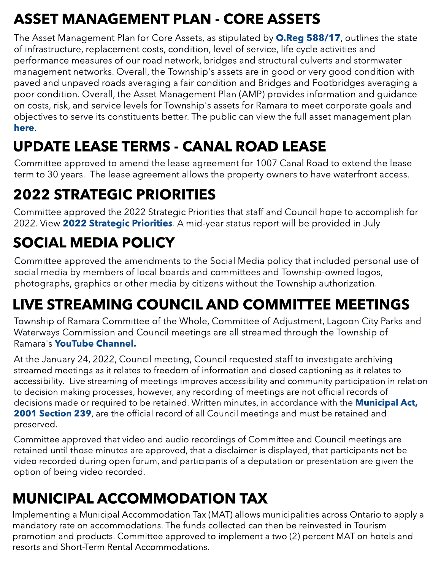### ASSET MANAGEMENT PLAN - CORE ASSETS

The Asset Management Plan for Core Assets, as stipulated by **[O.Reg](https://www.ontario.ca/laws/regulation/r17588) [588/17](https://www.ontario.ca/laws/regulation/r17588)**, outlines the state of infrastructure, replacement costs, condition, level of service, life cycle activities and performance measures of our road network, bridges and structural culverts and stormwater management networks. Overall, the Township's assets are in good or very good condition with paved and unpaved roads averaging a fair condition and Bridges and Footbridges averaging a poor condition. Overall, the Asset Management Plan (AMP) provides information and guidance on costs, risk, and service levels for Township's assets for Ramara to meet corporate goals and objectives to serve its constituents better. The public can view the full asset management plan [here](https://ramara.civicweb.net/document/60366/Asset%20Management%20Plan%20-%20Core%20Assets.pdf?handle=09A3EEB87112455993B98E678EC8E02D).

## UPDATE LEASE TERMS - CANAL ROAD LEASE

Committee approved to amend the lease agreement for 1007 Canal Road to extend the lease term to 30 years. The lease agreement allows the property owners to have waterfront access.

### 2022 STRATEGIC PRIORITIES

Committee approved the 2022 Strategic Priorities that staff and Council hope to accomplish for [2022](https://ramara.civicweb.net/document/60297/2022%20Strategic%20Priorities.pdf?handle=388F8800ACBB4233913168C9D7E89A19). View 2022 [Strategic](https://ramara.civicweb.net/document/60297/2022%20Strategic%20Priorities.pdf?handle=388F8800ACBB4233913168C9D7E89A19) [Priorities](https://ramara.civicweb.net/document/60297/2022%20Strategic%20Priorities.pdf?handle=388F8800ACBB4233913168C9D7E89A19). A mid-year status report will be provided in July.

## SOCIAL MEDIA POLICY

Committee approved the amendments to the Social Media policy that included personal use of social media by members of local boards and committees and Township-owned logos, photographs, graphics or other media by citizens without the Township authorization.

### LIVE STREAMING COUNCIL AND COMMITTEE MEETINGS

Township of Ramara Committee of the Whole, Committee of Adjustment, Lagoon City Parks and Waterways Commission and Council meetings are all streamed through the Township of Ramara's [YouTube](https://www.youtube.com/channel/UClYspODBjK5nNnr9XtC7oug) [Channel.](https://www.youtube.com/channel/UClYspODBjK5nNnr9XtC7oug)

At the January 24, 2022, Council meeting, Council requested staff to investigate archiving streamed meetings as it relates to freedom of information and closed captioning as it relates to accessibility. Live streaming of meetings improves accessibility and community participation in relation to decision making processes; however, any recording of meetings are not official records of decisions made or required to be retained. Written minutes, in accordance with the **[Municipal](https://www.ontario.ca/laws/statute/01m25#top) [Act,](https://www.ontario.ca/laws/statute/01m25#top)** [2001](https://www.ontario.ca/laws/statute/01m25#top) [Section](https://www.ontario.ca/laws/statute/01m25#top) [239](https://www.ontario.ca/laws/statute/01m25#top), are the official record of all Council meetings and must be retained and preserved.

Committee approved that video and audio recordings of Committee and Council meetings are retained until those minutes are approved, that a disclaimer is displayed, that participants not be video recorded during open forum, and participants of a deputation or presentation are given the option of being video recorded.

#### MUNICIPAL ACCOMMODATION TAX

Implementing a Municipal Accommodation Tax (MAT) allows municipalities across Ontario to apply a mandatory rate on accommodations. The funds collected can then be reinvested in Tourism promotion and products. Committee approved to implement a two (2) percent MAT on hotels and resorts and Short-Term Rental Accommodations.